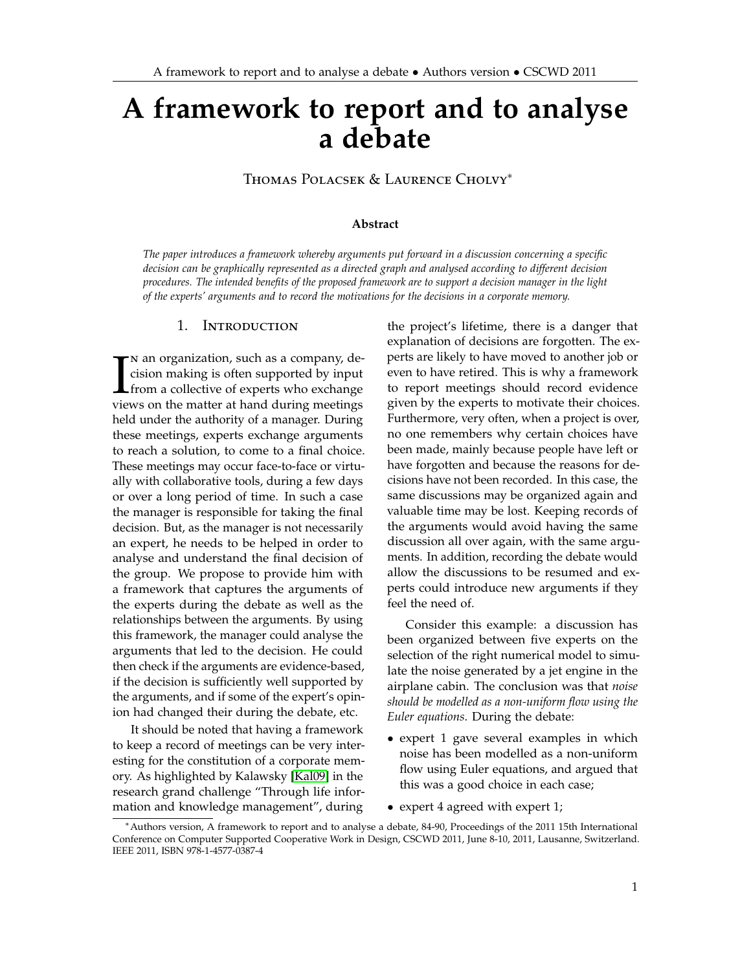# **A framework to report and to analyse a debate**

Thomas Polacsek & Laurence Cholvy<sup>∗</sup>

#### **Abstract**

*The paper introduces a framework whereby arguments put forward in a discussion concerning a specific decision can be graphically represented as a directed graph and analysed according to different decision procedures. The intended benefits of the proposed framework are to support a decision manager in the light of the experts' arguments and to record the motivations for the decisions in a corporate memory.*

#### 1. Introduction

 $\prod_{\text{view}}$ n an organization, such as a company, decision making is often supported by input from a collective of experts who exchange views on the matter at hand during meetings held under the authority of a manager. During these meetings, experts exchange arguments to reach a solution, to come to a final choice. These meetings may occur face-to-face or virtually with collaborative tools, during a few days or over a long period of time. In such a case the manager is responsible for taking the final decision. But, as the manager is not necessarily an expert, he needs to be helped in order to analyse and understand the final decision of the group. We propose to provide him with a framework that captures the arguments of the experts during the debate as well as the relationships between the arguments. By using this framework, the manager could analyse the arguments that led to the decision. He could then check if the arguments are evidence-based, if the decision is sufficiently well supported by the arguments, and if some of the expert's opinion had changed their during the debate, etc.

It should be noted that having a framework to keep a record of meetings can be very interesting for the constitution of a corporate memory. As highlighted by Kalawsky [\[Kal09\]](#page-9-0) in the research grand challenge "Through life information and knowledge management", during

the project's lifetime, there is a danger that explanation of decisions are forgotten. The experts are likely to have moved to another job or even to have retired. This is why a framework to report meetings should record evidence given by the experts to motivate their choices. Furthermore, very often, when a project is over, no one remembers why certain choices have been made, mainly because people have left or have forgotten and because the reasons for decisions have not been recorded. In this case, the same discussions may be organized again and valuable time may be lost. Keeping records of the arguments would avoid having the same discussion all over again, with the same arguments. In addition, recording the debate would allow the discussions to be resumed and experts could introduce new arguments if they feel the need of.

Consider this example: a discussion has been organized between five experts on the selection of the right numerical model to simulate the noise generated by a jet engine in the airplane cabin. The conclusion was that *noise should be modelled as a non-uniform flow using the Euler equations*. During the debate:

- expert 1 gave several examples in which noise has been modelled as a non-uniform flow using Euler equations, and argued that this was a good choice in each case;
- expert 4 agreed with expert 1;

<sup>∗</sup>Authors version, A framework to report and to analyse a debate, 84-90, Proceedings of the 2011 15th International Conference on Computer Supported Cooperative Work in Design, CSCWD 2011, June 8-10, 2011, Lausanne, Switzerland. IEEE 2011, ISBN 978-1-4577-0387-4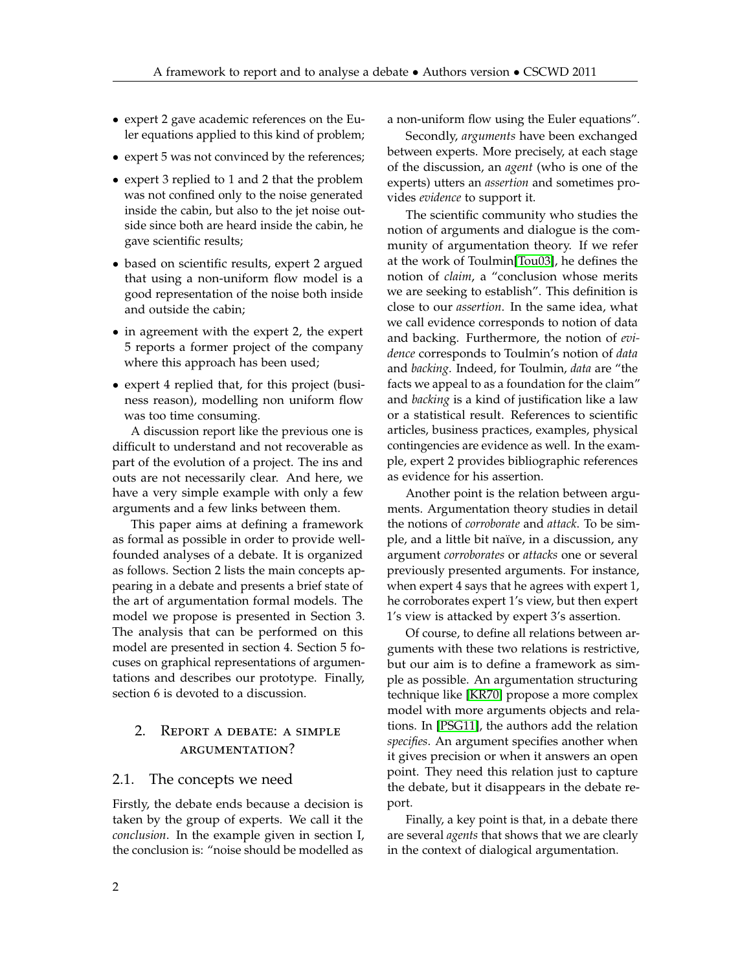- expert 2 gave academic references on the Euler equations applied to this kind of problem;
- expert 5 was not convinced by the references;
- expert 3 replied to 1 and 2 that the problem was not confined only to the noise generated inside the cabin, but also to the jet noise outside since both are heard inside the cabin, he gave scientific results;
- based on scientific results, expert 2 argued that using a non-uniform flow model is a good representation of the noise both inside and outside the cabin;
- in agreement with the expert 2, the expert 5 reports a former project of the company where this approach has been used;
- expert 4 replied that, for this project (business reason), modelling non uniform flow was too time consuming.

A discussion report like the previous one is difficult to understand and not recoverable as part of the evolution of a project. The ins and outs are not necessarily clear. And here, we have a very simple example with only a few arguments and a few links between them.

This paper aims at defining a framework as formal as possible in order to provide wellfounded analyses of a debate. It is organized as follows. Section 2 lists the main concepts appearing in a debate and presents a brief state of the art of argumentation formal models. The model we propose is presented in Section 3. The analysis that can be performed on this model are presented in section 4. Section 5 focuses on graphical representations of argumentations and describes our prototype. Finally, section 6 is devoted to a discussion.

# 2. Report a debate: a simple argumentation?

#### 2.1. The concepts we need

Firstly, the debate ends because a decision is taken by the group of experts. We call it the *conclusion*. In the example given in section I, the conclusion is: "noise should be modelled as a non-uniform flow using the Euler equations".

Secondly, *arguments* have been exchanged between experts. More precisely, at each stage of the discussion, an *agent* (who is one of the experts) utters an *assertion* and sometimes provides *evidence* to support it.

The scientific community who studies the notion of arguments and dialogue is the community of argumentation theory. If we refer at the work of Toulmin[\[Tou03\]](#page-10-0), he defines the notion of *claim*, a "conclusion whose merits we are seeking to establish". This definition is close to our *assertion*. In the same idea, what we call evidence corresponds to notion of data and backing. Furthermore, the notion of *evidence* corresponds to Toulmin's notion of *data* and *backing*. Indeed, for Toulmin, *data* are "the facts we appeal to as a foundation for the claim" and *backing* is a kind of justification like a law or a statistical result. References to scientific articles, business practices, examples, physical contingencies are evidence as well. In the example, expert 2 provides bibliographic references as evidence for his assertion.

Another point is the relation between arguments. Argumentation theory studies in detail the notions of *corroborate* and *attack*. To be simple, and a little bit naïve, in a discussion, any argument *corroborates* or *attacks* one or several previously presented arguments. For instance, when expert 4 says that he agrees with expert 1, he corroborates expert 1's view, but then expert 1's view is attacked by expert 3's assertion.

Of course, to define all relations between arguments with these two relations is restrictive, but our aim is to define a framework as simple as possible. An argumentation structuring technique like [\[KR70\]](#page-9-1) propose a more complex model with more arguments objects and relations. In [\[PSG11\]](#page-9-2), the authors add the relation *specifies*. An argument specifies another when it gives precision or when it answers an open point. They need this relation just to capture the debate, but it disappears in the debate report.

Finally, a key point is that, in a debate there are several *agents* that shows that we are clearly in the context of dialogical argumentation.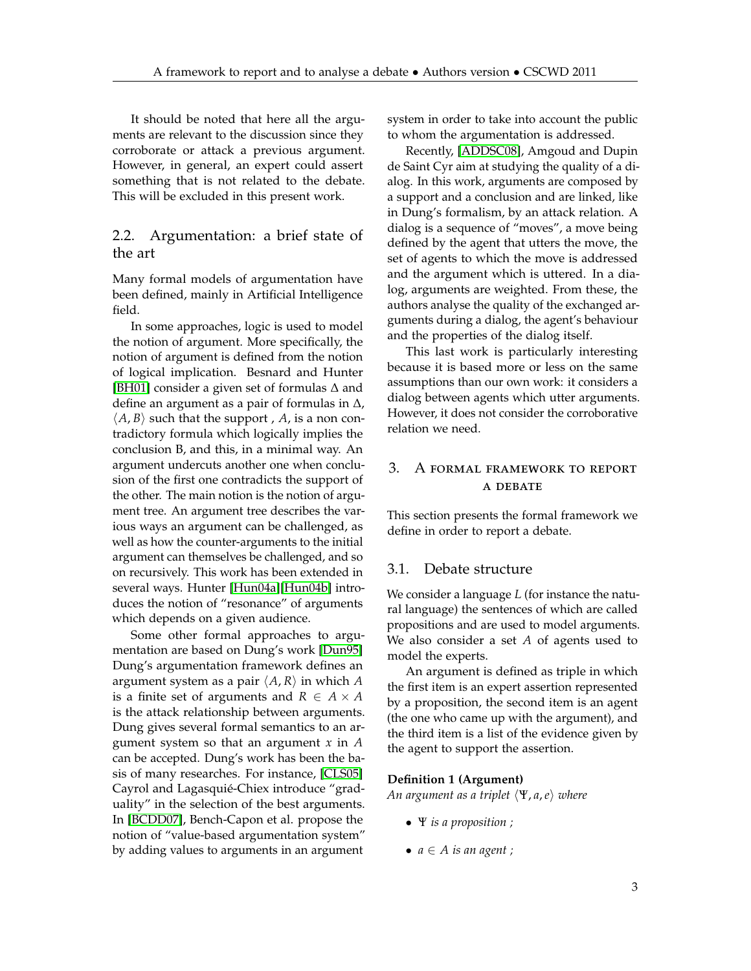It should be noted that here all the arguments are relevant to the discussion since they corroborate or attack a previous argument. However, in general, an expert could assert something that is not related to the debate. This will be excluded in this present work.

# 2.2. Argumentation: a brief state of the art

Many formal models of argumentation have been defined, mainly in Artificial Intelligence field.

In some approaches, logic is used to model the notion of argument. More specifically, the notion of argument is defined from the notion of logical implication. Besnard and Hunter [\[BH01\]](#page-8-0) consider a given set of formulas ∆ and define an argument as a pair of formulas in ∆,  $\langle A, B \rangle$  such that the support , *A*, is a non contradictory formula which logically implies the conclusion B, and this, in a minimal way. An argument undercuts another one when conclusion of the first one contradicts the support of the other. The main notion is the notion of argument tree. An argument tree describes the various ways an argument can be challenged, as well as how the counter-arguments to the initial argument can themselves be challenged, and so on recursively. This work has been extended in several ways. Hunter [\[Hun04a\]](#page-9-3)[\[Hun04b\]](#page-9-4) introduces the notion of "resonance" of arguments which depends on a given audience.

Some other formal approaches to argumentation are based on Dung's work [\[Dun95\]](#page-9-5) Dung's argumentation framework defines an argument system as a pair  $\langle A, R \rangle$  in which *A* is a finite set of arguments and  $R \in A \times A$ is the attack relationship between arguments. Dung gives several formal semantics to an argument system so that an argument *x* in *A* can be accepted. Dung's work has been the basis of many researches. For instance, [\[CLS05\]](#page-9-6) Cayrol and Lagasquié-Chiex introduce "graduality" in the selection of the best arguments. In [\[BCDD07\]](#page-8-1), Bench-Capon et al. propose the notion of "value-based argumentation system" by adding values to arguments in an argument

system in order to take into account the public to whom the argumentation is addressed.

Recently, [\[ADDSC08\]](#page-8-2), Amgoud and Dupin de Saint Cyr aim at studying the quality of a dialog. In this work, arguments are composed by a support and a conclusion and are linked, like in Dung's formalism, by an attack relation. A dialog is a sequence of "moves", a move being defined by the agent that utters the move, the set of agents to which the move is addressed and the argument which is uttered. In a dialog, arguments are weighted. From these, the authors analyse the quality of the exchanged arguments during a dialog, the agent's behaviour and the properties of the dialog itself.

This last work is particularly interesting because it is based more or less on the same assumptions than our own work: it considers a dialog between agents which utter arguments. However, it does not consider the corroborative relation we need.

# 3. A formal framework to report **A DEBATE**

This section presents the formal framework we define in order to report a debate.

#### 3.1. Debate structure

We consider a language *L* (for instance the natural language) the sentences of which are called propositions and are used to model arguments. We also consider a set *A* of agents used to model the experts.

An argument is defined as triple in which the first item is an expert assertion represented by a proposition, the second item is an agent (the one who came up with the argument), and the third item is a list of the evidence given by the agent to support the assertion.

#### **Definition 1 (Argument)**

*An argument as a triplet*  $\langle \Psi, \mathbf{a}, \mathbf{e} \rangle$  *where* 

- Ψ *is a proposition ;*
- $a \in A$  *is an agent ;*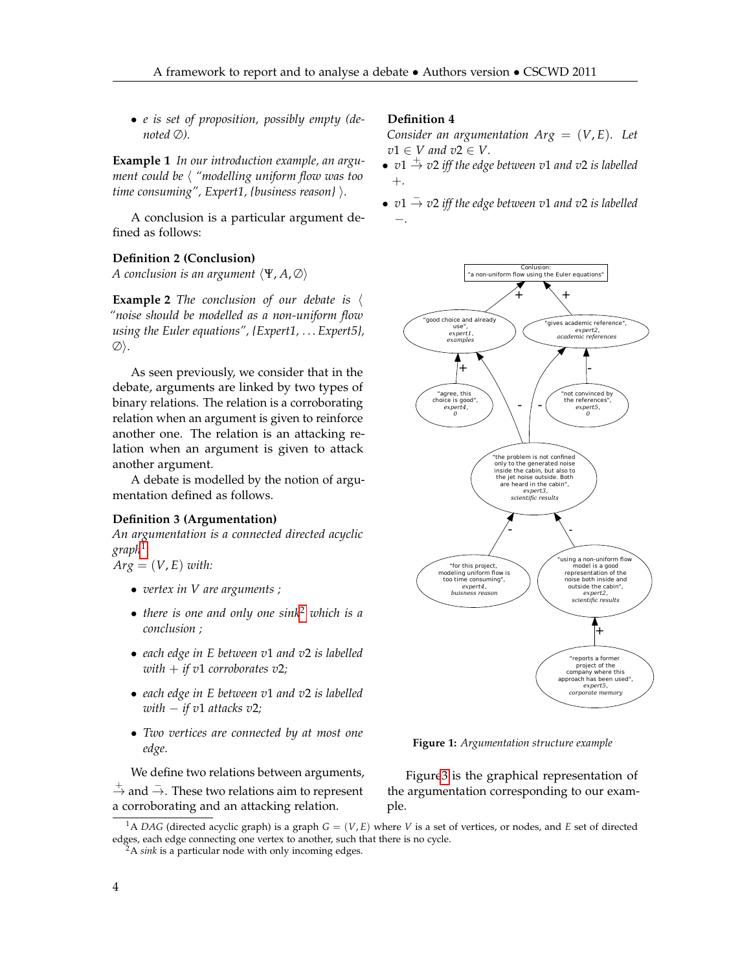• *e is set of proposition, possibly empty (denoted* ∅*).*

**Example 1** *In our introduction example, an argument could be*  $\langle$  "modelling uniform flow was too *time consuming", Expert1, {business reason}*  $\rangle$ *.* 

A conclusion is a particular argument defined as follows:

#### **Definition 2 (Conclusion)**

*A* conclusion is an argument  $\langle \Psi, A, \emptyset \rangle$ 

**Example 2** *The conclusion of our debate is*  $\langle$ *"noise should be modelled as a non-uniform flow using the Euler equations", {Expert1, . . . Expert5},* ∅i*.*

As seen previously, we consider that in the debate, arguments are linked by two types of binary relations. The relation is a corroborating relation when an argument is given to reinforce another one. The relation is an attacking relation when an argument is given to attack another argument.

A debate is modelled by the notion of argumentation defined as follows.

#### **Definition 3 (Argumentation)**

*An argumentation is a connected directed acyclic graph*[1](#page-3-0)

 $Arg = (V, E)$  *with:* 

- *vertex in V are arguments ;*
- *there is one and only one sink*[2](#page-3-1) *which is a conclusion ;*
- *each edge in E between v*1 *and v*2 *is labelled with*  $+$  *if v*1 *corroborates v2;*
- *each edge in E between v*1 *and v*2 *is labelled with* − *if v*1 *attacks v*2*;*
- *Two vertices are connected by at most one edge.*

We define two relations between arguments,

 $\stackrel{+}{\rightarrow}$  and  $\stackrel{-}{\rightarrow}$ . These two relations aim to represent a corroborating and an attacking relation.

#### **Definition 4**

*Consider an argumentation*  $Arg = (V, E)$ *. Let*  $v1 \in V$  and  $v2 \in V$ .

- *v*1 <sup>+</sup>→ *<sup>v</sup>*<sup>2</sup> *iff the edge between <sup>v</sup>*<sup>1</sup> *and <sup>v</sup>*<sup>2</sup> *is labelled* +*.*
- *v*1 <sup>−</sup>→ *<sup>v</sup>*<sup>2</sup> *iff the edge between <sup>v</sup>*<sup>1</sup> *and <sup>v</sup>*<sup>2</sup> *is labelled* −*.*



**Figure 1:** *Argumentation structure example*

Figur[e3](#page-8-3) is the graphical representation of the argumentation corresponding to our example.

<span id="page-3-0"></span> ${}^{1}$ A *DAG* (directed acyclic graph) is a graph  $G = (V, E)$  where V is a set of vertices, or nodes, and *E* set of directed edges, each edge connecting one vertex to another, such that there is no cycle.

<span id="page-3-1"></span><sup>2</sup>A *sink* is a particular node with only incoming edges.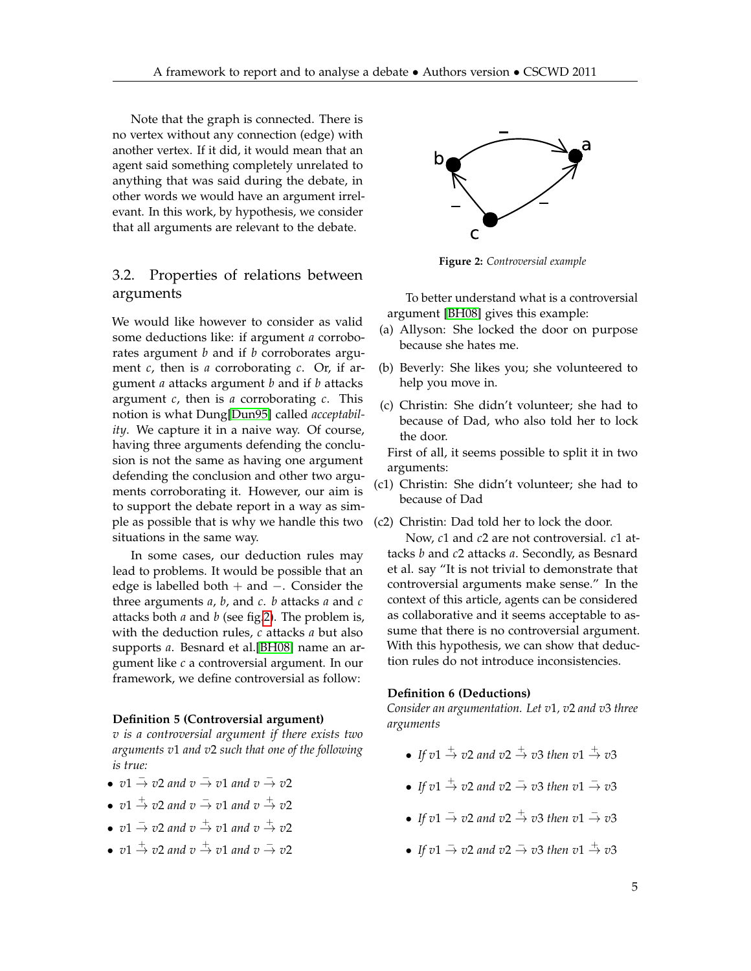Note that the graph is connected. There is no vertex without any connection (edge) with another vertex. If it did, it would mean that an agent said something completely unrelated to anything that was said during the debate, in other words we would have an argument irrelevant. In this work, by hypothesis, we consider that all arguments are relevant to the debate.

# 3.2. Properties of relations between arguments

We would like however to consider as valid some deductions like: if argument *a* corroborates argument *b* and if *b* corroborates argument *c*, then is *a* corroborating *c*. Or, if argument *a* attacks argument *b* and if *b* attacks argument *c*, then is *a* corroborating *c*. This notion is what Dung[\[Dun95\]](#page-9-5) called *acceptability*. We capture it in a naive way. Of course, having three arguments defending the conclusion is not the same as having one argument defending the conclusion and other two arguments corroborating it. However, our aim is to support the debate report in a way as simple as possible that is why we handle this two situations in the same way.

In some cases, our deduction rules may lead to problems. It would be possible that an edge is labelled both + and −. Consider the three arguments *a*, *b*, and *c*. *b* attacks *a* and *c* attacks both *a* and *b* (see fig[.2\)](#page-4-0). The problem is, with the deduction rules, *c* attacks *a* but also supports *a*. Besnard et al.[\[BH08\]](#page-9-7) name an argument like *c* a controversial argument. In our framework, we define controversial as follow:

#### **Definition 5 (Controversial argument)**

*v is a controversial argument if there exists two arguments v*1 *and v*2 *such that one of the following is true:*

- *v*1 <sup>−</sup><sup>→</sup> *<sup>v</sup>*<sup>2</sup> *and v* <sup>−</sup><sup>→</sup> *<sup>v</sup>*<sup>1</sup> *and v* <sup>−</sup><sup>→</sup> *<sup>v</sup>*<sup>2</sup>
- $v1 \stackrel{+}{\rightarrow} v2$  and  $v \stackrel{-}{\rightarrow} v1$  and  $v \stackrel{+}{\rightarrow} v2$
- *v*1 <sup>−</sup><sup>→</sup> *<sup>v</sup>*<sup>2</sup> *and v* <sup>+</sup><sup>→</sup> *<sup>v</sup>*<sup>1</sup> *and v* <sup>+</sup><sup>→</sup> *<sup>v</sup>*<sup>2</sup>
- *v*1 <sup>+</sup><sup>→</sup> *<sup>v</sup>*<sup>2</sup> *and v* <sup>+</sup><sup>→</sup> *<sup>v</sup>*<sup>1</sup> *and v* <sup>−</sup><sup>→</sup> *<sup>v</sup>*<sup>2</sup>

<span id="page-4-0"></span>

**Figure 2:** *Controversial example*

To better understand what is a controversial argument [\[BH08\]](#page-9-7) gives this example:

- (a) Allyson: She locked the door on purpose because she hates me.
- (b) Beverly: She likes you; she volunteered to help you move in.
- (c) Christin: She didn't volunteer; she had to because of Dad, who also told her to lock the door.

First of all, it seems possible to split it in two arguments:

(c1) Christin: She didn't volunteer; she had to because of Dad

(c2) Christin: Dad told her to lock the door.

Now, *c*1 and *c*2 are not controversial. *c*1 attacks *b* and *c*2 attacks *a*. Secondly, as Besnard et al. say "It is not trivial to demonstrate that controversial arguments make sense." In the context of this article, agents can be considered as collaborative and it seems acceptable to assume that there is no controversial argument. With this hypothesis, we can show that deduction rules do not introduce inconsistencies.

#### **Definition 6 (Deductions)**

*Consider an argumentation. Let v*1*, v*2 *and v*3 *three arguments*

- If  $v1 \stackrel{+}{\rightarrow} v2$  and  $v2 \stackrel{+}{\rightarrow} v3$  then  $v1 \stackrel{+}{\rightarrow} v3$
- *If*  $v1 \stackrel{+}{\rightarrow} v2$  and  $v2 \stackrel{-}{\rightarrow} v3$  then  $v1 \stackrel{-}{\rightarrow} v3$
- *If*  $v1 \stackrel{-}{\rightarrow} v2$  and  $v2 \stackrel{+}{\rightarrow} v3$  then  $v1 \stackrel{-}{\rightarrow} v3$
- *If*  $v1 \stackrel{-}{\rightarrow} v2$  and  $v2 \stackrel{-}{\rightarrow} v3$  then  $v1 \stackrel{+}{\rightarrow} v3$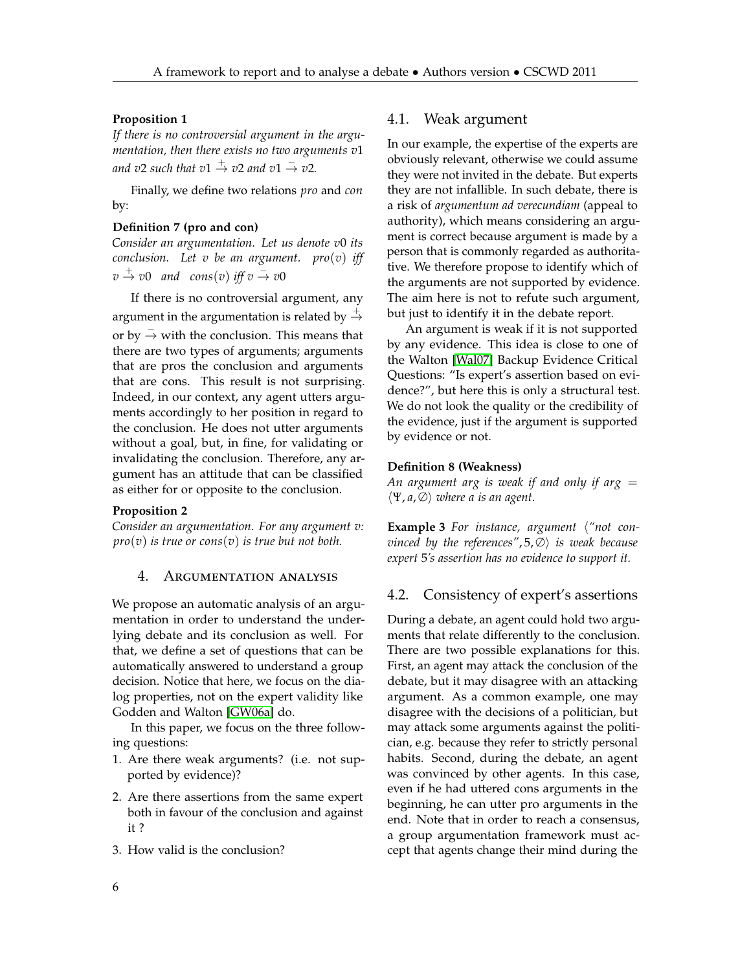#### **Proposition 1**

*If there is no controversial argument in the argumentation, then there exists no two arguments v*1 and v2 such that  $v1 \overset{+}{\rightarrow} v2$  and  $v1 \overset{-}{\rightarrow} v2$ .

Finally, we define two relations *pro* and *con* by:

#### **Definition 7 (pro and con)**

*Consider an argumentation. Let us denote v*0 *its conclusion. Let v be an argument. pro*(*v*) *iff*  $v \stackrel{+}{\rightarrow} v0$  and  $cons(v)$  iff  $v \stackrel{-}{\rightarrow} v0$ 

If there is no controversial argument, any argument in the argumentation is related by  $\rightarrow$ or by  $\overline{\rightarrow}$  with the conclusion. This means that there are two types of arguments; arguments that are pros the conclusion and arguments that are cons. This result is not surprising. Indeed, in our context, any agent utters arguments accordingly to her position in regard to the conclusion. He does not utter arguments without a goal, but, in fine, for validating or invalidating the conclusion. Therefore, any argument has an attitude that can be classified as either for or opposite to the conclusion.

#### **Proposition 2**

*Consider an argumentation. For any argument v: pro*(*v*) *is true or cons*(*v*) *is true but not both.*

#### <span id="page-5-0"></span>4. Argumentation analysis

We propose an automatic analysis of an argumentation in order to understand the underlying debate and its conclusion as well. For that, we define a set of questions that can be automatically answered to understand a group decision. Notice that here, we focus on the dialog properties, not on the expert validity like Godden and Walton [\[GW06a\]](#page-9-8) do.

In this paper, we focus on the three following questions:

- 1. Are there weak arguments? (i.e. not supported by evidence)?
- 2. Are there assertions from the same expert both in favour of the conclusion and against it ?
- 3. How valid is the conclusion?

## 4.1. Weak argument

In our example, the expertise of the experts are obviously relevant, otherwise we could assume they were not invited in the debate. But experts they are not infallible. In such debate, there is a risk of *argumentum ad verecundiam* (appeal to authority), which means considering an argument is correct because argument is made by a person that is commonly regarded as authoritative. We therefore propose to identify which of the arguments are not supported by evidence. The aim here is not to refute such argument, but just to identify it in the debate report.

An argument is weak if it is not supported by any evidence. This idea is close to one of the Walton [\[Wal07\]](#page-10-1) Backup Evidence Critical Questions: "Is expert's assertion based on evidence?", but here this is only a structural test. We do not look the quality or the credibility of the evidence, just if the argument is supported by evidence or not.

#### **Definition 8 (Weakness)**

*An argument arg is weak if and only if arg* =  $\langle \Psi, a, \emptyset \rangle$  *where a is an agent.* 

**Example 3** For instance, argument  $\langle$ "not con*vinced by the references",* 5, ∅) *is weak because expert* 5*'s assertion has no evidence to support it.*

## 4.2. Consistency of expert's assertions

During a debate, an agent could hold two arguments that relate differently to the conclusion. There are two possible explanations for this. First, an agent may attack the conclusion of the debate, but it may disagree with an attacking argument. As a common example, one may disagree with the decisions of a politician, but may attack some arguments against the politician, e.g. because they refer to strictly personal habits. Second, during the debate, an agent was convinced by other agents. In this case, even if he had uttered cons arguments in the beginning, he can utter pro arguments in the end. Note that in order to reach a consensus, a group argumentation framework must accept that agents change their mind during the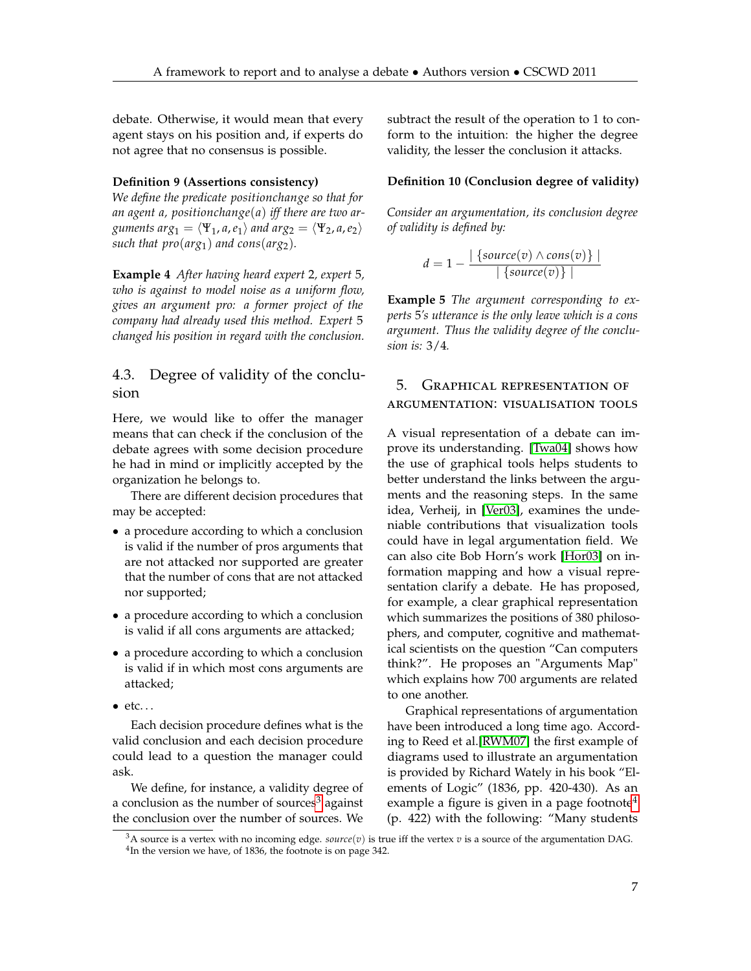debate. Otherwise, it would mean that every agent stays on his position and, if experts do not agree that no consensus is possible.

#### **Definition 9 (Assertions consistency)**

*We define the predicate positionchange so that for an agent a, positionchange*(*a*) *iff there are two arguments*  $arg_1 = \langle \Psi_1, a, e_1 \rangle$  *and*  $arg_2 = \langle \Psi_2, a, e_2 \rangle$ *such that pro(* $arg_1$ *) and cons(* $arg_2$ *).* 

**Example 4** *After having heard expert* 2*, expert* 5*, who is against to model noise as a uniform flow, gives an argument pro: a former project of the company had already used this method. Expert* 5 *changed his position in regard with the conclusion.*

## 4.3. Degree of validity of the conclusion

Here, we would like to offer the manager means that can check if the conclusion of the debate agrees with some decision procedure he had in mind or implicitly accepted by the organization he belongs to.

There are different decision procedures that may be accepted:

- a procedure according to which a conclusion is valid if the number of pros arguments that are not attacked nor supported are greater that the number of cons that are not attacked nor supported;
- a procedure according to which a conclusion is valid if all cons arguments are attacked;
- a procedure according to which a conclusion is valid if in which most cons arguments are attacked;
- $\bullet$  etc...

Each decision procedure defines what is the valid conclusion and each decision procedure could lead to a question the manager could ask.

We define, for instance, a validity degree of a conclusion as the number of sources<sup>[3](#page-6-0)</sup> against the conclusion over the number of sources. We subtract the result of the operation to 1 to conform to the intuition: the higher the degree validity, the lesser the conclusion it attacks.

## **Definition 10 (Conclusion degree of validity)**

*Consider an argumentation, its conclusion degree of validity is defined by:*

$$
d = 1 - \frac{|\{source(v) \land cons(v)\}|}{|\{source(v)\}|}
$$

**Example 5** *The argument corresponding to experts* 5*'s utterance is the only leave which is a cons argument. Thus the validity degree of the conclusion is:* 3/4*.*

## 5. Graphical representation of argumentation: visualisation tools

A visual representation of a debate can improve its understanding. [\[Twa04\]](#page-10-2) shows how the use of graphical tools helps students to better understand the links between the arguments and the reasoning steps. In the same idea, Verheij, in [\[Ver03\]](#page-10-3), examines the undeniable contributions that visualization tools could have in legal argumentation field. We can also cite Bob Horn's work [\[Hor03\]](#page-9-9) on information mapping and how a visual representation clarify a debate. He has proposed, for example, a clear graphical representation which summarizes the positions of 380 philosophers, and computer, cognitive and mathematical scientists on the question "Can computers think?". He proposes an "Arguments Map" which explains how 700 arguments are related to one another.

Graphical representations of argumentation have been introduced a long time ago. According to Reed et al.[\[RWM07\]](#page-10-4) the first example of diagrams used to illustrate an argumentation is provided by Richard Wately in his book "Elements of Logic" (1836, pp. 420-430). As an example a figure is given in a page footnote $4$ (p. 422) with the following: "Many students

<span id="page-6-1"></span><span id="page-6-0"></span> $3A$  source is a vertex with no incoming edge. *source*(*v*) is true iff the vertex *v* is a source of the argumentation DAG. <sup>4</sup>In the version we have, of 1836, the footnote is on page 342.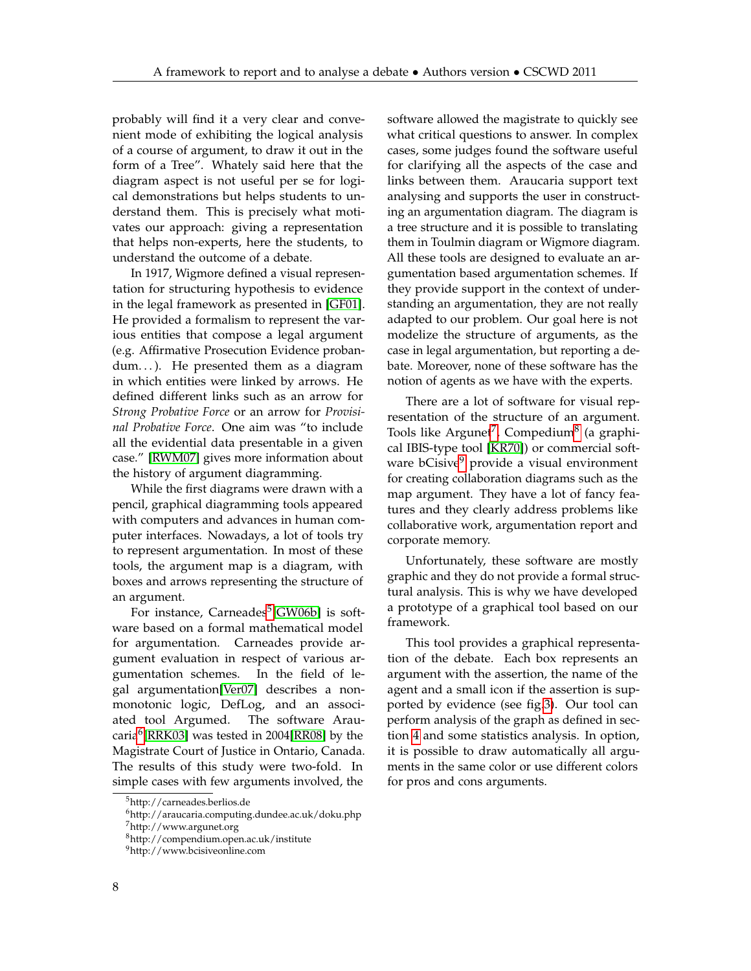probably will find it a very clear and convenient mode of exhibiting the logical analysis of a course of argument, to draw it out in the form of a Tree". Whately said here that the diagram aspect is not useful per se for logical demonstrations but helps students to understand them. This is precisely what motivates our approach: giving a representation that helps non-experts, here the students, to understand the outcome of a debate.

In 1917, Wigmore defined a visual representation for structuring hypothesis to evidence in the legal framework as presented in [\[GF01\]](#page-9-10). He provided a formalism to represent the various entities that compose a legal argument (e.g. Affirmative Prosecution Evidence probandum...). He presented them as a diagram in which entities were linked by arrows. He defined different links such as an arrow for *Strong Probative Force* or an arrow for *Provisinal Probative Force*. One aim was "to include all the evidential data presentable in a given case." [\[RWM07\]](#page-10-4) gives more information about the history of argument diagramming.

While the first diagrams were drawn with a pencil, graphical diagramming tools appeared with computers and advances in human computer interfaces. Nowadays, a lot of tools try to represent argumentation. In most of these tools, the argument map is a diagram, with boxes and arrows representing the structure of an argument.

For instance, Carneades<sup>[5](#page-7-0)</sup>[\[GW06b\]](#page-9-11) is software based on a formal mathematical model for argumentation. Carneades provide argument evaluation in respect of various argumentation schemes. In the field of legal argumentation[\[Ver07\]](#page-10-5) describes a nonmonotonic logic, DefLog, and an associated tool Argumed. The software Arau-caria<sup>[6](#page-7-1)</sup>[\[RRK03\]](#page-10-6) was tested in 2004[\[RR08\]](#page-9-12) by the Magistrate Court of Justice in Ontario, Canada. The results of this study were two-fold. In simple cases with few arguments involved, the

software allowed the magistrate to quickly see what critical questions to answer. In complex cases, some judges found the software useful for clarifying all the aspects of the case and links between them. Araucaria support text analysing and supports the user in constructing an argumentation diagram. The diagram is a tree structure and it is possible to translating them in Toulmin diagram or Wigmore diagram. All these tools are designed to evaluate an argumentation based argumentation schemes. If they provide support in the context of understanding an argumentation, they are not really adapted to our problem. Our goal here is not modelize the structure of arguments, as the case in legal argumentation, but reporting a debate. Moreover, none of these software has the notion of agents as we have with the experts.

There are a lot of software for visual representation of the structure of an argument. Tools like Argunet<sup>[7](#page-7-2)</sup>, Compedium<sup>[8](#page-7-3)</sup> (a graphical IBIS-type tool [\[KR70\]](#page-9-1)) or commercial soft-ware bCisive<sup>[9](#page-7-4)</sup> provide a visual environment for creating collaboration diagrams such as the map argument. They have a lot of fancy features and they clearly address problems like collaborative work, argumentation report and corporate memory.

Unfortunately, these software are mostly graphic and they do not provide a formal structural analysis. This is why we have developed a prototype of a graphical tool based on our framework.

This tool provides a graphical representation of the debate. Each box represents an argument with the assertion, the name of the agent and a small icon if the assertion is supported by evidence (see fig[.3\)](#page-8-3). Our tool can perform analysis of the graph as defined in section [4](#page-5-0) and some statistics analysis. In option, it is possible to draw automatically all arguments in the same color or use different colors for pros and cons arguments.

<span id="page-7-0"></span><sup>5</sup>http://carneades.berlios.de

<span id="page-7-1"></span><sup>6</sup>http://araucaria.computing.dundee.ac.uk/doku.php

<span id="page-7-2"></span><sup>7</sup>http://www.argunet.org

<span id="page-7-3"></span><sup>8</sup>http://compendium.open.ac.uk/institute

<span id="page-7-4"></span><sup>9</sup>http://www.bcisiveonline.com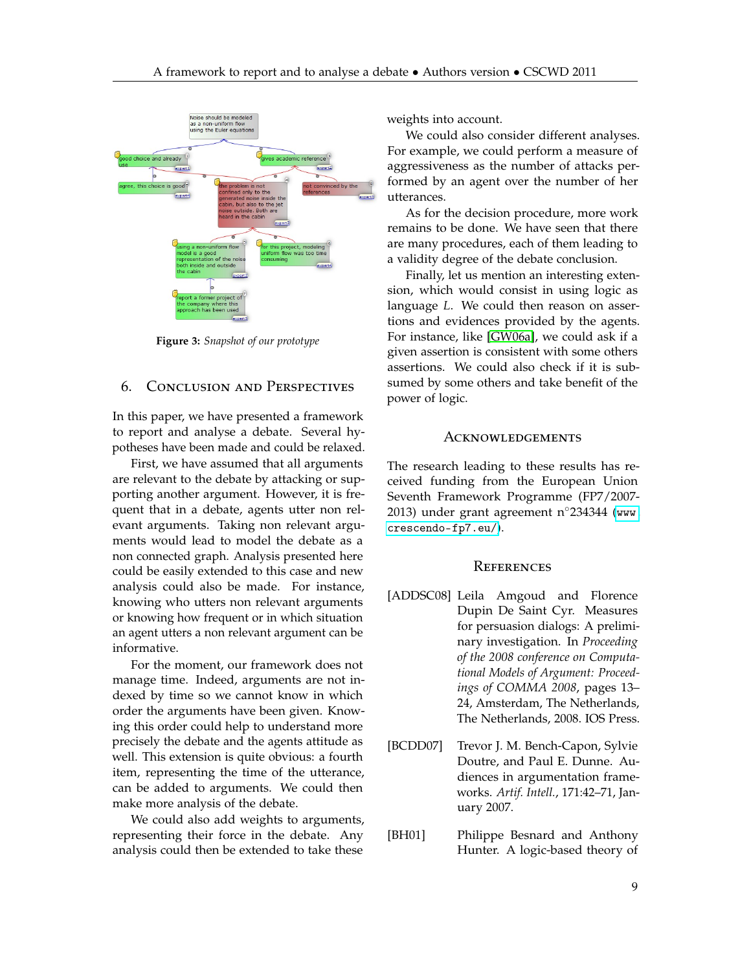<span id="page-8-3"></span>

**Figure 3:** *Snapshot of our prototype*

## 6. Conclusion and Perspectives

In this paper, we have presented a framework to report and analyse a debate. Several hypotheses have been made and could be relaxed.

First, we have assumed that all arguments are relevant to the debate by attacking or supporting another argument. However, it is frequent that in a debate, agents utter non relevant arguments. Taking non relevant arguments would lead to model the debate as a non connected graph. Analysis presented here could be easily extended to this case and new analysis could also be made. For instance, knowing who utters non relevant arguments or knowing how frequent or in which situation an agent utters a non relevant argument can be informative.

For the moment, our framework does not manage time. Indeed, arguments are not indexed by time so we cannot know in which order the arguments have been given. Knowing this order could help to understand more precisely the debate and the agents attitude as well. This extension is quite obvious: a fourth item, representing the time of the utterance, can be added to arguments. We could then make more analysis of the debate.

We could also add weights to arguments, representing their force in the debate. Any analysis could then be extended to take these weights into account.

We could also consider different analyses. For example, we could perform a measure of aggressiveness as the number of attacks performed by an agent over the number of her utterances.

As for the decision procedure, more work remains to be done. We have seen that there are many procedures, each of them leading to a validity degree of the debate conclusion.

Finally, let us mention an interesting extension, which would consist in using logic as language *L*. We could then reason on assertions and evidences provided by the agents. For instance, like [\[GW06a\]](#page-9-8), we could ask if a given assertion is consistent with some others assertions. We could also check if it is subsumed by some others and take benefit of the power of logic.

## **ACKNOWLEDGEMENTS**

The research leading to these results has received funding from the European Union Seventh Framework Programme (FP7/2007- 2013) under grant agreement n◦234344 ([www.](www.crescendo-fp7.eu/) [crescendo-fp7.eu/](www.crescendo-fp7.eu/)).

#### **REFERENCES**

- <span id="page-8-2"></span>[ADDSC08] Leila Amgoud and Florence Dupin De Saint Cyr. Measures for persuasion dialogs: A preliminary investigation. In *Proceeding of the 2008 conference on Computational Models of Argument: Proceedings of COMMA 2008*, pages 13– 24, Amsterdam, The Netherlands, The Netherlands, 2008. IOS Press.
- <span id="page-8-1"></span>[BCDD07] Trevor J. M. Bench-Capon, Sylvie Doutre, and Paul E. Dunne. Audiences in argumentation frameworks. *Artif. Intell.*, 171:42–71, January 2007.

<span id="page-8-0"></span>[BH01] Philippe Besnard and Anthony Hunter. A logic-based theory of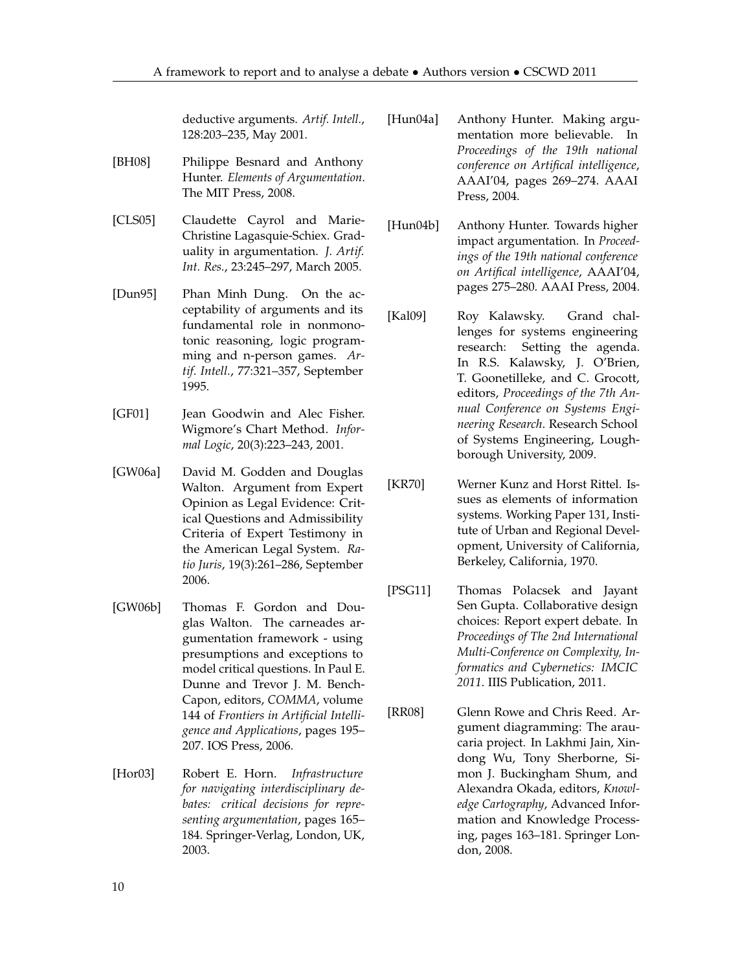deductive arguments. *Artif. Intell.*, 128:203–235, May 2001.

- <span id="page-9-7"></span>[BH08] Philippe Besnard and Anthony Hunter. *Elements of Argumentation*. The MIT Press, 2008.
- <span id="page-9-6"></span>[CLS05] Claudette Cayrol and Marie-Christine Lagasquie-Schiex. Graduality in argumentation. *J. Artif. Int. Res.*, 23:245–297, March 2005.
- <span id="page-9-5"></span>[Dun95] Phan Minh Dung. On the acceptability of arguments and its fundamental role in nonmonotonic reasoning, logic programming and n-person games. *Artif. Intell.*, 77:321–357, September 1995.
- <span id="page-9-10"></span>[GF01] Jean Goodwin and Alec Fisher. Wigmore's Chart Method. *Informal Logic*, 20(3):223–243, 2001.
- <span id="page-9-8"></span>[GW06a] David M. Godden and Douglas Walton. Argument from Expert Opinion as Legal Evidence: Critical Questions and Admissibility Criteria of Expert Testimony in the American Legal System. *Ratio Juris*, 19(3):261–286, September 2006.
- <span id="page-9-11"></span>[GW06b] Thomas F. Gordon and Douglas Walton. The carneades argumentation framework - using presumptions and exceptions to model critical questions. In Paul E. Dunne and Trevor J. M. Bench-Capon, editors, *COMMA*, volume 144 of *Frontiers in Artificial Intelligence and Applications*, pages 195– 207. IOS Press, 2006.
- <span id="page-9-9"></span>[Hor03] Robert E. Horn. *Infrastructure for navigating interdisciplinary debates: critical decisions for representing argumentation*, pages 165– 184. Springer-Verlag, London, UK, 2003.
- <span id="page-9-3"></span>[Hun04a] Anthony Hunter. Making argumentation more believable. In *Proceedings of the 19th national conference on Artifical intelligence*, AAAI'04, pages 269–274. AAAI Press, 2004.
- <span id="page-9-4"></span>[Hun04b] Anthony Hunter. Towards higher impact argumentation. In *Proceedings of the 19th national conference on Artifical intelligence*, AAAI'04, pages 275–280. AAAI Press, 2004.
- <span id="page-9-0"></span>[Kal09] Roy Kalawsky. Grand challenges for systems engineering research: Setting the agenda. In R.S. Kalawsky, J. O'Brien, T. Goonetilleke, and C. Grocott, editors, *Proceedings of the 7th Annual Conference on Systems Engineering Research*. Research School of Systems Engineering, Loughborough University, 2009.
- <span id="page-9-1"></span>[KR70] Werner Kunz and Horst Rittel. Issues as elements of information systems. Working Paper 131, Institute of Urban and Regional Development, University of California, Berkeley, California, 1970.
- <span id="page-9-2"></span>[PSG11] Thomas Polacsek and Jayant Sen Gupta. Collaborative design choices: Report expert debate. In *Proceedings of The 2nd International Multi-Conference on Complexity, Informatics and Cybernetics: IMCIC 2011*. IIIS Publication, 2011.
- <span id="page-9-12"></span>[RR08] Glenn Rowe and Chris Reed. Argument diagramming: The araucaria project. In Lakhmi Jain, Xindong Wu, Tony Sherborne, Simon J. Buckingham Shum, and Alexandra Okada, editors, *Knowledge Cartography*, Advanced Information and Knowledge Processing, pages 163–181. Springer London, 2008.